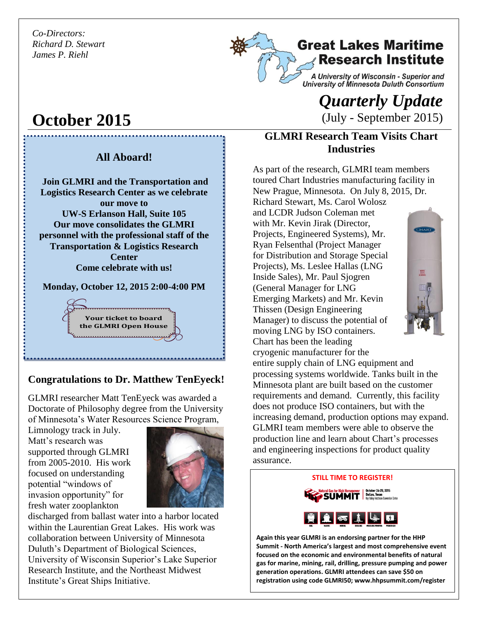*Co-Directors: Richard D. Stewart James P. Riehl*

**October 2015**

## **Great Lakes Maritime Research Institute**

A University of Wisconsin - Superior and University of Minnesota Duluth Consortium

# *Quarterly Update*  (July - September 2015)

### **GLMRI Research Team Visits Chart Industries**

As part of the research, GLMRI team members toured Chart Industries manufacturing facility in New Prague, Minnesota. On July 8, 2015, Dr. Richard Stewart, Ms. Carol Wolosz

and LCDR Judson Coleman met with Mr. Kevin Jirak (Director, Projects, Engineered Systems), Mr. Ryan Felsenthal (Project Manager for Distribution and Storage Special Projects), Ms. Leslee Hallas (LNG Inside Sales), Mr. Paul Sjogren (General Manager for LNG Emerging Markets) and Mr. Kevin Thissen (Design Engineering Manager) to discuss the potential of moving LNG by ISO containers. Chart has been the leading



cryogenic manufacturer for the entire supply chain of LNG equipment and processing systems worldwide. Tanks built in the Minnesota plant are built based on the customer requirements and demand. Currently, this facility does not produce ISO containers, but with the increasing demand, production options may expand. GLMRI team members were able to observe the production line and learn about Chart's processes and engineering inspections for product quality assurance.

#### **STILL TIME TO REGISTER!**



**Again this year GLMRI is an endorsing partner for the HHP Summit - North America's largest and most comprehensive event focused on the economic and environmental benefits of natural gas for marine, mining, rail, drilling, pressure pumping and power generation operations. GLMRI attendees can save \$50 on registration using code GLMRI50; www.hhpsummit.com/register**

## **All Aboard!**

**Join GLMRI and the Transportation and Logistics Research Center as we celebrate our move to UW-S Erlanson Hall, Suite 105 Our move consolidates the GLMRI personnel with the professional staff of the Transportation & Logistics Research Center Come celebrate with us!**

**Monday, October 12, 2015 2:00-4:00 PM**

**Your ticket to board the GLMRI Open House**

### **Congratulations to Dr. Matthew TenEyeck!**

GLMRI researcher Matt TenEyeck was awarded a Doctorate of Philosophy degree from the University of Minnesota's Water Resources Science Program,

Limnology track in July. Matt's research was supported through GLMRI from 2005-2010. His work focused on understanding potential "windows of invasion opportunity" for fresh water zooplankton



discharged from ballast water into a harbor located within the Laurentian Great Lakes. His work was collaboration between University of Minnesota Duluth's Department of Biological Sciences, University of Wisconsin Superior's Lake Superior Research Institute, and the Northeast Midwest Institute's Great Ships Initiative.